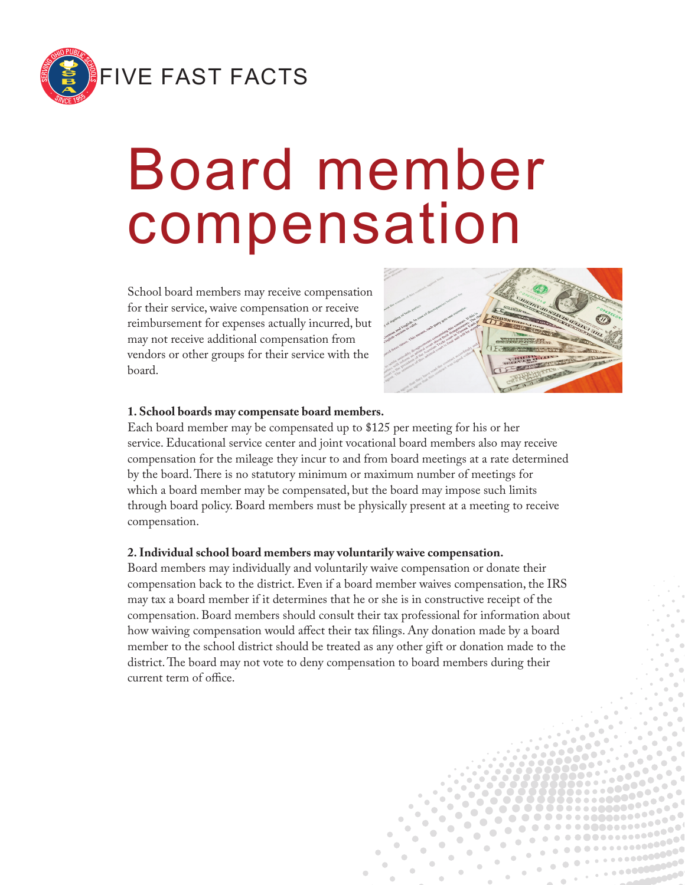

# Board member compensation

School board members may receive compensation for their service, waive compensation or receive reimbursement for expenses actually incurred, but may not receive additional compensation from vendors or other groups for their service with the board.



#### **1. School boards may compensate board members.**

Each board member may be compensated up to \$125 per meeting for his or her service. Educational service center and joint vocational board members also may receive compensation for the mileage they incur to and from board meetings at a rate determined by the board. There is no statutory minimum or maximum number of meetings for which a board member may be compensated, but the board may impose such limits through board policy. Board members must be physically present at a meeting to receive compensation.

#### **2. Individual school board members may voluntarily waive compensation.**

Board members may individually and voluntarily waive compensation or donate their compensation back to the district. Even if a board member waives compensation, the IRS may tax a board member if it determines that he or she is in constructive receipt of the compensation. Board members should consult their tax professional for information about how waiving compensation would affect their tax filings. Any donation made by a board member to the school district should be treated as any other gift or donation made to the district. The board may not vote to deny compensation to board members during their current term of office.